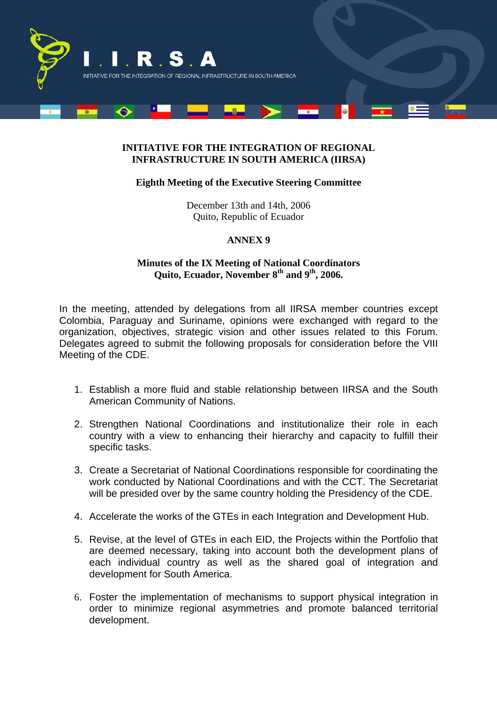

## **INITIATIVE FOR THE INTEGRATION OF REGIONAL INFRASTRUCTURE IN SOUTH AMERICA (IIRSA)**

## **Eighth Meeting of the Executive Steering Committee**

December 13th and 14th, 2006 Quito, Republic of Ecuador

## **ANNEX 9**

## **Minutes of the IX Meeting of National Coordinators**  Quito, Ecuador, November 8<sup>th</sup> and 9<sup>th</sup>, 2006.

In the meeting, attended by delegations from all IIRSA member countries except Colombia, Paraguay and Suriname, opinions were exchanged with regard to the organization, objectives, strategic vision and other issues related to this Forum. Delegates agreed to submit the following proposals for consideration before the VIII Meeting of the CDE.

- 1. Establish a more fluid and stable relationship between IIRSA and the South American Community of Nations.
- 2. Strengthen National Coordinations and institutionalize their role in each country with a view to enhancing their hierarchy and capacity to fulfill their specific tasks.
- 3. Create a Secretariat of National Coordinations responsible for coordinating the work conducted by National Coordinations and with the CCT. The Secretariat will be presided over by the same country holding the Presidency of the CDE.
- 4. Accelerate the works of the GTEs in each Integration and Development Hub.
- 5. Revise, at the level of GTEs in each EID, the Projects within the Portfolio that are deemed necessary, taking into account both the development plans of each individual country as well as the shared goal of integration and development for South America.
- 6. Foster the implementation of mechanisms to support physical integration in order to minimize regional asymmetries and promote balanced territorial development.